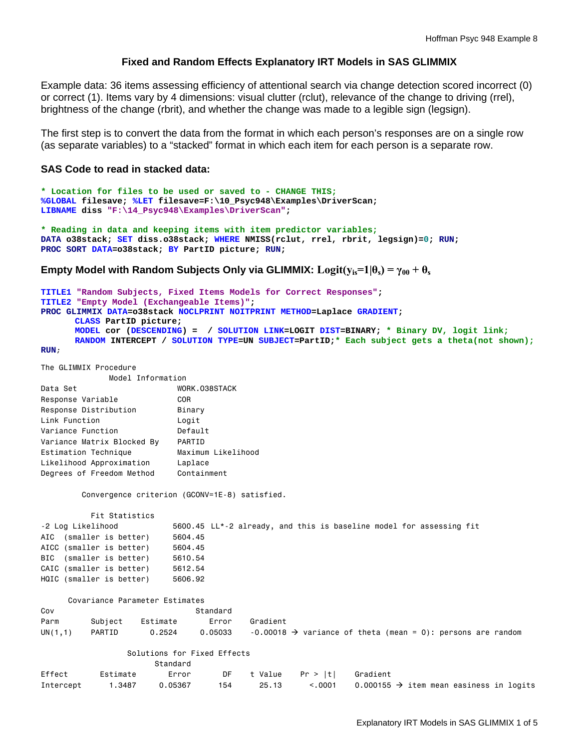# **Fixed and Random Effects Explanatory IRT Models in SAS GLIMMIX**

Example data: 36 items assessing efficiency of attentional search via change detection scored incorrect (0) or correct (1). Items vary by 4 dimensions: visual clutter (rclut), relevance of the change to driving (rrel), brightness of the change (rbrit), and whether the change was made to a legible sign (legsign).

The first step is to convert the data from the format in which each person's responses are on a single row (as separate variables) to a "stacked" format in which each item for each person is a separate row.

## **SAS Code to read in stacked data:**

```
* Location for files to be used or saved to - CHANGE THIS;
%GLOBAL filesave; %LET filesave=F:\10_Psyc948\Examples\DriverScan; 
LIBNAME diss "F:\14_Psyc948\Examples\DriverScan"; 
* Reading in data and keeping items with item predictor variables;
DATA o38stack; SET diss.o38stack; WHERE NMISS(rclut, rrel, rbrit, legsign)=0; RUN; 
PROC SORT DATA=o38stack; BY PartID picture; RUN;
```
**Empty Model with Random Subjects Only via GLIMMIX:**  $\text{Logit}(y_{is}=1|\theta_s) = \gamma_{00} + \theta_s$ 

```
TITLE1 "Random Subjects, Fixed Items Models for Correct Responses"; 
TITLE2 "Empty Model (Exchangeable Items)"; 
PROC GLIMMIX DATA=o38stack NOCLPRINT NOITPRINT METHOD=Laplace GRADIENT; 
      CLASS PartID picture; 
      MODEL cor (DESCENDING) = / SOLUTION LINK=LOGIT DIST=BINARY; * Binary DV, logit link;
      RANDOM INTERCEPT / SOLUTION TYPE=UN SUBJECT=PartID;* Each subject gets a theta(not shown);
RUN;
```
The GLIMMIX Procedure

| Model Information          |                    |  |  |  |  |  |  |
|----------------------------|--------------------|--|--|--|--|--|--|
| Data Set                   | WORK.038STACK      |  |  |  |  |  |  |
| Response Variable          | COR                |  |  |  |  |  |  |
| Response Distribution      | Binary             |  |  |  |  |  |  |
| Link Function              | Logit              |  |  |  |  |  |  |
| Variance Function          | Default            |  |  |  |  |  |  |
| Variance Matrix Blocked By | PARTID             |  |  |  |  |  |  |
| Estimation Technique       | Maximum Likelihood |  |  |  |  |  |  |
| Likelihood Approximation   | Laplace            |  |  |  |  |  |  |
| Degrees of Freedom Method  | Containment        |  |  |  |  |  |  |

Convergence criterion (GCONV=1E-8) satisfied.

| Fit Statistics           |                                                                     |
|--------------------------|---------------------------------------------------------------------|
| -2 Log Likelihood        | 5600.45 LL*-2 already, and this is baseline model for assessing fit |
| AIC (smaller is better)  | 5604.45                                                             |
| AICC (smaller is better) | 5604.45                                                             |
| BIC (smaller is better)  | 5610.54                                                             |
| CAIC (smaller is better) | 5612.54                                                             |
| HQIC (smaller is better) | 5606.92                                                             |
|                          |                                                                     |

|         | Covariance Parameter Estimates |          |          |          |  |                                                                           |  |
|---------|--------------------------------|----------|----------|----------|--|---------------------------------------------------------------------------|--|
| Cov     |                                |          | Standard |          |  |                                                                           |  |
| Parm    | Subiect                        | Estimate | Error    | Gradient |  |                                                                           |  |
| UN(1,1) | PARTID                         | 0.2524   | 0.05033  |          |  | $-0.00018$ $\rightarrow$ variance of theta (mean = 0): persons are random |  |

#### Solutions for Fixed Effects

|           |          | Standard |     |       |                                    |                                                     |
|-----------|----------|----------|-----|-------|------------------------------------|-----------------------------------------------------|
| Effect    | Estimate | Error    |     |       | DF t Value    Pr >  t     Gradient |                                                     |
| Intercept | 1.3487   | 0.05367  | 154 | 25.13 | < 0.001                            | 0.000155 $\rightarrow$ item mean easiness in logits |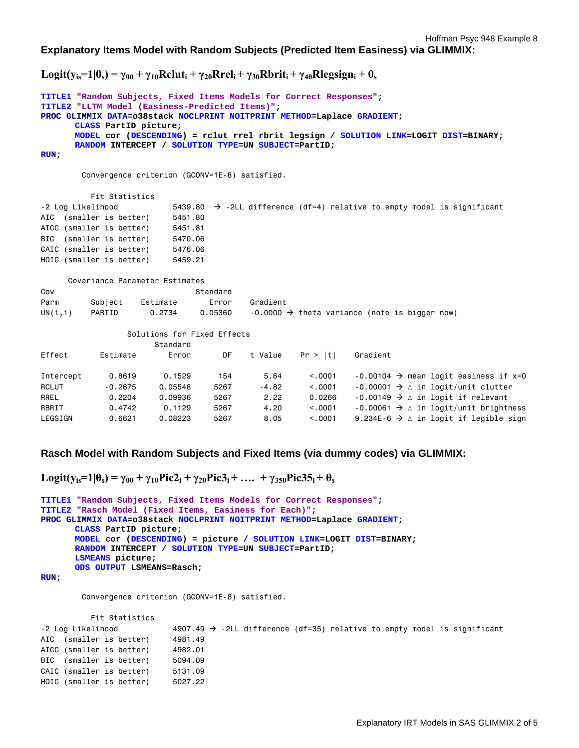Hoffman Psyc 948 Example 8

**Explanatory Items Model with Random Subjects (Predicted Item Easiness) via GLIMMIX:** 

 $Logit(y_{is}=1|\theta_s) = \gamma_{00} + \gamma_{10}$ Rclut<sub>i</sub> +  $\gamma_{20}$ Rrel<sub>i</sub> +  $\gamma_{30}$ Rbrit<sub>i</sub> +  $\gamma_{40}$ Rlegsign<sub>i</sub> +  $\theta_s$ 

```
TITLE1 "Random Subjects, Fixed Items Models for Correct Responses"; 
TITLE2 "LLTM Model (Easiness-Predicted Items)"; 
PROC GLIMMIX DATA=o38stack NOCLPRINT NOITPRINT METHOD=Laplace GRADIENT; 
      CLASS PartID picture; 
      MODEL cor (DESCENDING) = rclut rrel rbrit legsign / SOLUTION LINK=LOGIT DIST=BINARY; 
      RANDOM INTERCEPT / SOLUTION TYPE=UN SUBJECT=PartID; 
RUN; 
         Convergence criterion (GCONV=1E-8) satisfied. 
           Fit Statistics 
-2 Log Likelihood 5439.80 \rightarrow -2LL difference (df=4) relative to empty model is significant
AIC (smaller is better) 5451.80
AICC (smaller is better) 5451.81 
BIC (smaller is better) 5470.06 
CAIC (smaller is better) 5476.06 
HQIC (smaller is better) 5459.21
      Covariance Parameter Estimates 
Cov Standard
Parm Subject Estimate Error Gradient 
UN(1,1) PARTID 0.2734 0.05360 -0.0000 \rightarrow theta variance (note is bigger now)
                  Solutions for Fixed Effects 
                        Standard 
Effect Estimate Error DF t Value Pr > |t| Gradient 
Intercept 0.8619 0.1529 154 5.64 < .0001 -0.00104 \rightarrow mean logit easiness if x=0
RCLUT -0.2675 0.05548 5267 -4.82 <.0001 -0.00001 \rightarrow \Delta in logit/unit clutter
RREL 0.2204 0.09936 5267 2.22 0.0266 -0.00149 \rightarrow \Delta in logit if relevant
RBRIT 0.4742 0.1129 5267 4.20 <.0001 -0.00061 \rightarrow ∆ in logit/unit brightness<br>LEGSIGN 0.6621 0.08223 5267 8.05 <.0001 9.234E-6 \rightarrow ∆ in logit if legible sign
LEGSIGN 0.6621 0.08223 5267 8.05 <.0001 9.234E-6 \rightarrow \Delta in logit if legible sign
```
### **Rasch Model with Random Subjects and Fixed Items (via dummy codes) via GLIMMIX:**

```
\text{Logit}(y_{is}=1|\theta_s) = \gamma_{00} + \gamma_{10}\text{Pic}2_1 + \gamma_{20}\text{Pic}3_1 + \dots + \gamma_{350}\text{Pic}35_1 + \theta_s
```

```
TITLE1 "Random Subjects, Fixed Items Models for Correct Responses"; 
TITLE2 "Rasch Model (Fixed Items, Easiness for Each)"; 
PROC GLIMMIX DATA=o38stack NOCLPRINT NOITPRINT METHOD=Laplace GRADIENT; 
      CLASS PartID picture; 
      MODEL cor (DESCENDING) = picture / SOLUTION LINK=LOGIT DIST=BINARY; 
      RANDOM INTERCEPT / SOLUTION TYPE=UN SUBJECT=PartID; 
      LSMEANS picture; 
      ODS OUTPUT LSMEANS=Rasch;
```
**RUN;** 

Convergence criterion (GCONV=1E-8) satisfied.

| 4907.49 $\rightarrow$ -2LL difference (df=35) relative to empty model is significant |
|--------------------------------------------------------------------------------------|
| 4981,49                                                                              |
| 4982,01                                                                              |
| 5094.09                                                                              |
| 5131.09                                                                              |
| 5027.22                                                                              |
|                                                                                      |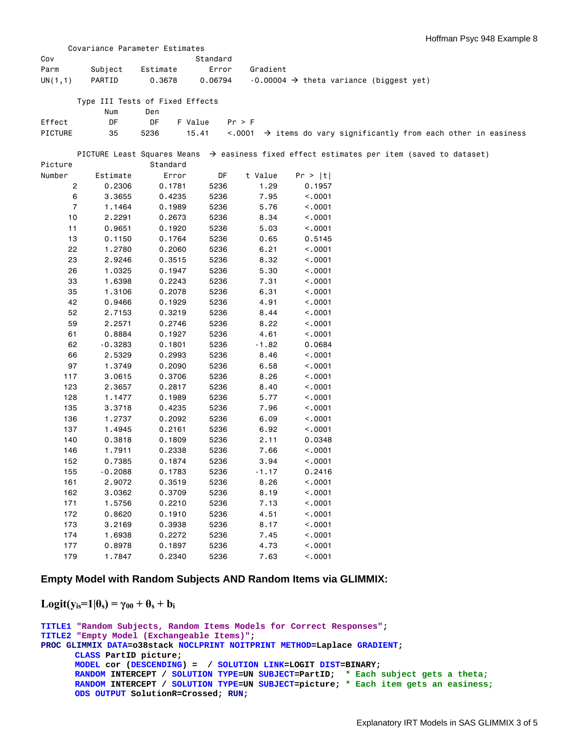|                |           | Covariance Parameter Estimates  |          |          |                                                                                                       |
|----------------|-----------|---------------------------------|----------|----------|-------------------------------------------------------------------------------------------------------|
| Cov            |           |                                 | Standard |          |                                                                                                       |
| Parm           | Subject   | Estimate                        | Error    | Gradient |                                                                                                       |
| UN(1,1)        | PARTID    | 0.3678                          | 0.06794  |          | $-0.00004$ $\rightarrow$ theta variance (biggest yet)                                                 |
|                |           |                                 |          |          |                                                                                                       |
|                |           | Type III Tests of Fixed Effects |          |          |                                                                                                       |
|                | Num       | Den                             |          |          |                                                                                                       |
| Effect         | DF        | DF<br>F Value                   |          | Pr > F   |                                                                                                       |
| PICTURE        | 35        | 15.41<br>5236                   |          |          | $\langle .0001 \rangle$ $\rightarrow$ items do vary significantly from each other in easiness         |
|                |           |                                 |          |          |                                                                                                       |
|                |           |                                 |          |          | PICTURE Least Squares Means $\rightarrow$ easiness fixed effect estimates per item (saved to dataset) |
| Picture        |           | Standard                        |          |          |                                                                                                       |
| Number         | Estimate  | Error                           | DF       | t Value  | Pr >  t                                                                                               |
| 2              | 0.2306    | 0.1781                          | 5236     | 1.29     | 0.1957                                                                                                |
| 6              | 3.3655    | 0.4235                          | 5236     | 7.95     | < .0001                                                                                               |
| $\overline{7}$ | 1.1464    | 0.1989                          | 5236     | 5.76     | < .0001                                                                                               |
| 10             | 2.2291    | 0.2673                          | 5236     | 8.34     | < .0001                                                                                               |
| 11             | 0.9651    | 0.1920                          | 5236     | 5.03     | < 0.001                                                                                               |
| 13             | 0.1150    | 0.1764                          | 5236     | 0.65     | 0.5145                                                                                                |
| 22             | 1.2780    | 0.2060                          | 5236     | 6.21     | < .0001                                                                                               |
| 23             | 2.9246    | 0.3515                          | 5236     | 8.32     | < .0001                                                                                               |
| 26             | 1.0325    | 0.1947                          | 5236     | 5.30     | < .0001                                                                                               |
| 33             | 1.6398    | 0.2243                          | 5236     | 7.31     | < .0001                                                                                               |
| 35             | 1.3106    | 0.2078                          | 5236     | 6.31     | < .0001                                                                                               |
| 42             | 0.9466    | 0.1929                          | 5236     | 4.91     | < .0001                                                                                               |
| 52             | 2.7153    | 0.3219                          | 5236     | 8.44     | < .0001                                                                                               |
| 59             | 2.2571    | 0.2746                          | 5236     | 8.22     | < .0001                                                                                               |
| 61             | 0.8884    | 0.1927                          | 5236     | 4.61     | < .0001                                                                                               |
| 62             | $-0.3283$ | 0.1801                          | 5236     | $-1.82$  | 0.0684                                                                                                |
| 66             | 2.5329    | 0.2993                          | 5236     | 8.46     | < .0001                                                                                               |
| 97             | 1.3749    | 0.2090                          | 5236     | 6.58     | < 0.001                                                                                               |
| 117            | 3.0615    | 0.3706                          | 5236     | 8.26     | < 0.001                                                                                               |
| 123            | 2.3657    | 0.2817                          | 5236     | 8.40     | < .0001                                                                                               |
| 128            | 1.1477    | 0.1989                          | 5236     | 5.77     | < .0001                                                                                               |
| 135            | 3.3718    | 0.4235                          | 5236     | 7.96     | < .0001                                                                                               |
| 136            | 1.2737    | 0.2092                          | 5236     | 6.09     | < .0001                                                                                               |
| 137            | 1.4945    | 0.2161                          | 5236     | 6.92     | < .0001                                                                                               |
| 140            | 0.3818    | 0.1809                          | 5236     | 2.11     | 0.0348                                                                                                |
| 146            | 1.7911    | 0.2338                          | 5236     | 7.66     | < .0001                                                                                               |
| 152            | 0.7385    | 0.1874                          | 5236     | 3.94     | < .0001                                                                                               |
| 155            | $-0.2088$ | 0.1783                          | 5236     | $-1.17$  | 0.2416                                                                                                |
| 161            | 2.9072    | 0.3519                          | 5236     | 8.26     | < .0001                                                                                               |
| 162            | 3.0362    | 0.3709                          | 5236     | 8.19     | < .0001                                                                                               |
| 171            | 1.5756    | 0.2210                          | 5236     | 7.13     | < .0001                                                                                               |
| 172            | 0.8620    | 0.1910                          | 5236     | 4.51     | < .0001                                                                                               |
| 173            | 3.2169    | 0.3938                          | 5236     | 8.17     | < 0001                                                                                                |
| 174            | 1.6938    | 0.2272                          | 5236     | 7.45     | < 0001                                                                                                |
| 177            | 0.8978    | 0.1897                          | 5236     | 4.73     | < 0.001                                                                                               |
| 179            | 1.7847    | 0.2340                          | 5236     | 7.63     | < 0.001                                                                                               |
|                |           |                                 |          |          |                                                                                                       |

## **Empty Model with Random Subjects AND Random Items via GLIMMIX:**

# $\text{Logit}(y_{is}=1|\theta_s) = \gamma_{00} + \theta_s + b_i$

```
TITLE1 "Random Subjects, Random Items Models for Correct Responses"; 
TITLE2 "Empty Model (Exchangeable Items)"; 
PROC GLIMMIX DATA=o38stack NOCLPRINT NOITPRINT METHOD=Laplace GRADIENT; 
      CLASS PartID picture; 
      MODEL cor (DESCENDING) = / SOLUTION LINK=LOGIT DIST=BINARY; 
      RANDOM INTERCEPT / SOLUTION TYPE=UN SUBJECT=PartID; * Each subject gets a theta;
      RANDOM INTERCEPT / SOLUTION TYPE=UN SUBJECT=picture; * Each item gets an easiness;
      ODS OUTPUT SolutionR=Crossed; RUN;
```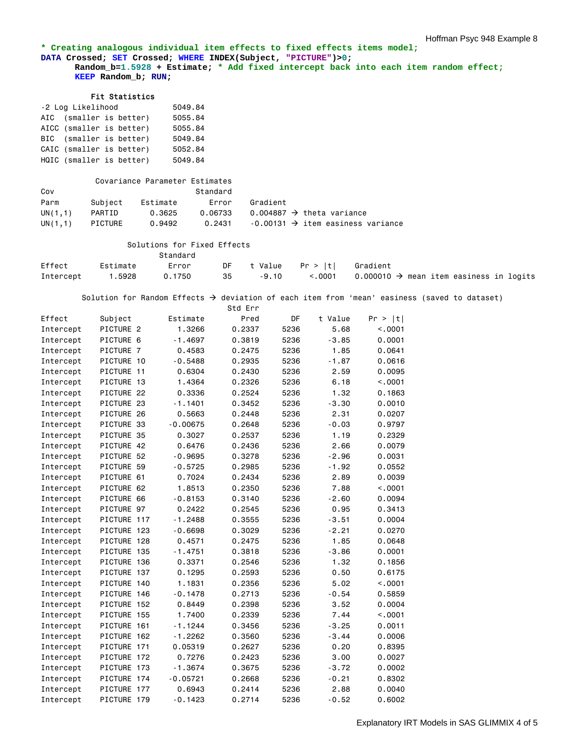#### **\* Creating analogous individual item effects to fixed effects items model; DATA Crossed; SET Crossed; WHERE INDEX(Subject, "PICTURE")>0; Random\_b=1.5928 + Estimate; \* Add fixed intercept back into each item random effect; KEEP Random\_b; RUN;**

#### Fit Statistics

| -2 Log Likelihood        | 5049.84 |         |
|--------------------------|---------|---------|
| AIC (smaller is better)  |         | 5055.84 |
| AICC (smaller is better) |         | 5055.84 |
| BIC (smaller is better)  |         | 5049.84 |
| CAIC (smaller is better) |         | 5052.84 |
| HQIC (smaller is better) |         | 5049.84 |

|         |         | Covariance Parameter Estimates |          |                                               |
|---------|---------|--------------------------------|----------|-----------------------------------------------|
| Cov     |         |                                | Standard |                                               |
| Parm    | Subiect | Estimate                       | Error    | Gradient                                      |
| UN(1,1) | PARTID  | 0.3625                         | 0.06733  | 0.004887 $\rightarrow$ theta variance         |
| UN(1,1) | PICTURE | 0.9492                         | 0.2431   | $-0.00131 \rightarrow$ item easiness variance |

# Solutions for Fixed Effects

|        |                  | Standard |    |                                    |                                                                    |  |
|--------|------------------|----------|----|------------------------------------|--------------------------------------------------------------------|--|
| Effect | Estimate         | Error    |    | DF t Value    Pr >  t     Gradient |                                                                    |  |
|        | Intercept 1.5928 | 0.1750   | 35 |                                    | $-9.10$ <.0001 0.000010 $\rightarrow$ mean item easiness in logits |  |

Solution for Random Effects  $\rightarrow$  deviation of each item from 'mean' easiness (saved to dataset)

|           |                |     |            | Std Err |      |         |         |
|-----------|----------------|-----|------------|---------|------|---------|---------|
| Effect    | Subject        |     | Estimate   | Pred    | DF   | t Value | Pr >  t |
| Intercept | PICTURE 2      |     | 1.3266     | 0.2337  | 5236 | 5.68    | < .0001 |
| Intercept | PICTURE 6      |     | $-1.4697$  | 0.3819  | 5236 | $-3.85$ | 0.0001  |
| Intercept | PICTURE 7      |     | 0.4583     | 0.2475  | 5236 | 1.85    | 0.0641  |
| Intercept | PICTURE 10     |     | $-0.5488$  | 0.2935  | 5236 | $-1.87$ | 0.0616  |
| Intercept | PICTURE 11     |     | 0.6304     | 0.2430  | 5236 | 2.59    | 0.0095  |
| Intercept | PICTURE 13     |     | 1.4364     | 0.2326  | 5236 | 6.18    | < .0001 |
| Intercept | PICTURE 22     |     | 0.3336     | 0.2524  | 5236 | 1.32    | 0.1863  |
| Intercept | PICTURE 23     |     | $-1.1401$  | 0.3452  | 5236 | $-3.30$ | 0.0010  |
| Intercept | PICTURE 26     |     | 0.5663     | 0.2448  | 5236 | 2.31    | 0.0207  |
| Intercept | PICTURE 33     |     | $-0.00675$ | 0.2648  | 5236 | $-0.03$ | 0.9797  |
| Intercept | PICTURE 35     |     | 0.3027     | 0.2537  | 5236 | 1.19    | 0.2329  |
| Intercept | PICTURE 42     |     | 0.6476     | 0.2436  | 5236 | 2.66    | 0.0079  |
| Intercept | PICTURE 52     |     | $-0.9695$  | 0.3278  | 5236 | $-2.96$ | 0.0031  |
| Intercept | PICTURE 59     |     | $-0.5725$  | 0.2985  | 5236 | $-1.92$ | 0.0552  |
| Intercept | PICTURE 61     |     | 0.7024     | 0.2434  | 5236 | 2.89    | 0.0039  |
| Intercept | PICTURE 62     |     | 1.8513     | 0.2350  | 5236 | 7.88    | < .0001 |
| Intercept | PICTURE 66     |     | $-0.8153$  | 0.3140  | 5236 | $-2.60$ | 0.0094  |
| Intercept | PICTURE 97     |     | 0.2422     | 0.2545  | 5236 | 0.95    | 0.3413  |
| Intercept | PICTURE 117    |     | $-1.2488$  | 0.3555  | 5236 | $-3.51$ | 0.0004  |
| Intercept | PICTURE 123    |     | $-0.6698$  | 0.3029  | 5236 | $-2.21$ | 0.0270  |
| Intercept | PICTURE 128    |     | 0.4571     | 0.2475  | 5236 | 1.85    | 0.0648  |
| Intercept | PICTURE 135    |     | $-1.4751$  | 0.3818  | 5236 | $-3.86$ | 0.0001  |
| Intercept | PICTURE 136    |     | 0.3371     | 0.2546  | 5236 | 1.32    | 0.1856  |
| Intercept | PICTURE 137    |     | 0.1295     | 0.2593  | 5236 | 0.50    | 0.6175  |
| Intercept | PICTURE 140    |     | 1.1831     | 0.2356  | 5236 | 5.02    | < .0001 |
| Intercept | PICTURE 146    |     | $-0.1478$  | 0.2713  | 5236 | $-0.54$ | 0.5859  |
| Intercept | PICTURE 152    |     | 0.8449     | 0.2398  | 5236 | 3.52    | 0.0004  |
| Intercept | PICTURE 155    |     | 1.7400     | 0.2339  | 5236 | 7.44    | < .0001 |
| Intercept | PICTURE 161    |     | $-1.1244$  | 0.3456  | 5236 | $-3.25$ | 0.0011  |
| Intercept | PICTURE 162    |     | $-1.2262$  | 0.3560  | 5236 | $-3.44$ | 0.0006  |
| Intercept | PICTURE 171    |     | 0.05319    | 0.2627  | 5236 | 0.20    | 0.8395  |
| Intercept | PICTURE 172    |     | 0.7276     | 0.2423  | 5236 | 3.00    | 0.0027  |
| Intercept | PICTURE 173    |     | $-1.3674$  | 0.3675  | 5236 | $-3.72$ | 0.0002  |
| Intercept | PICTURE 174    |     | $-0.05721$ | 0.2668  | 5236 | $-0.21$ | 0.8302  |
| Intercept | <b>PICTURE</b> | 177 | 0.6943     | 0.2414  | 5236 | 2.88    | 0.0040  |
| Intercept | PICTURE 179    |     | $-0.1423$  | 0.2714  | 5236 | $-0.52$ | 0.6002  |